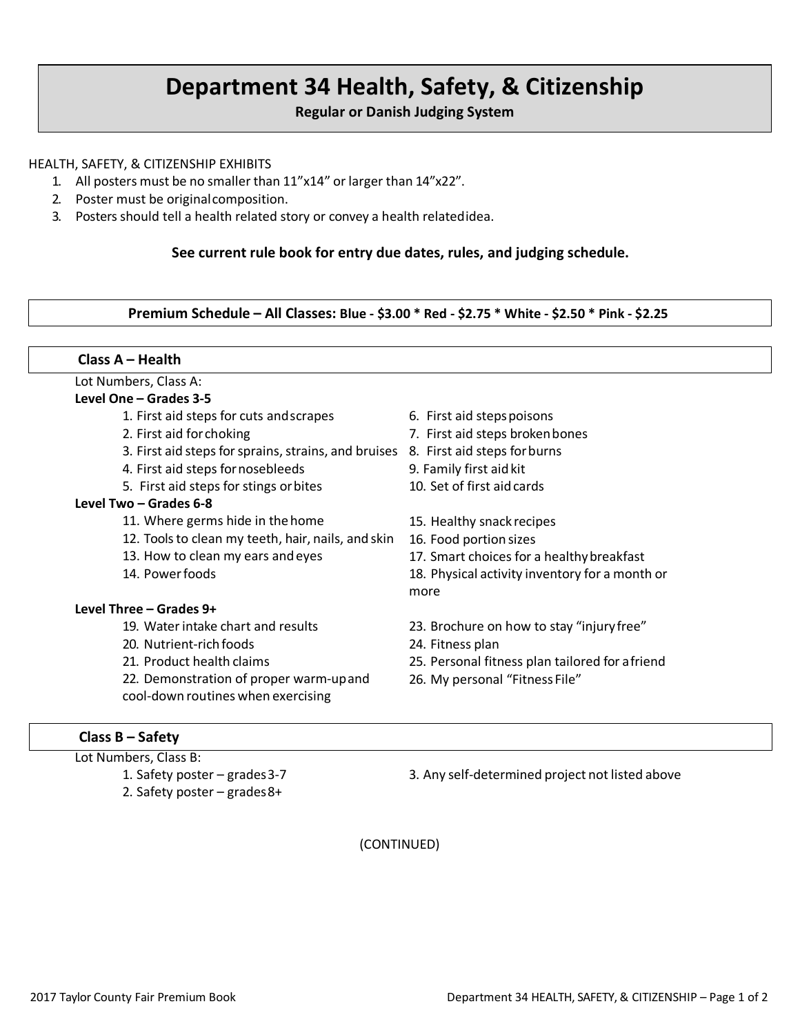# **Department 34 Health, Safety, & Citizenship**

**Regular or Danish Judging System**

#### HEALTH, SAFETY, & CITIZENSHIP EXHIBITS

- 1. All posters must be no smaller than 11"x14" or larger than 14"x22".
- 2. Poster must be originalcomposition.
- 3. Posters should tell a health related story or convey a health relatedidea.

#### **See current rule book for entry due dates, rules, and judging schedule.**

**Premium Schedule – All Classes: Blue - \$3.00 \* Red - \$2.75 \* White - \$2.50 \* Pink - \$2.25**

| Lot Numbers, Class A:                                |                                                 |
|------------------------------------------------------|-------------------------------------------------|
| Level One - Grades 3-5                               |                                                 |
| 1. First aid steps for cuts and scrapes              | 6. First aid steps poisons                      |
| 2. First aid for choking                             | 7. First aid steps broken bones                 |
| 3. First aid steps for sprains, strains, and bruises | 8. First aid steps for burns                    |
| 4. First aid steps for nosebleeds                    | 9. Family first aid kit                         |
| 5. First aid steps for stings or bites               | 10. Set of first aid cards                      |
| Level Two - Grades 6-8                               |                                                 |
| 11. Where germs hide in the home                     | 15. Healthy snack recipes                       |
| 12. Tools to clean my teeth, hair, nails, and skin   | 16. Food portion sizes                          |
| 13. How to clean my ears and eyes                    | 17. Smart choices for a healthy breakfast       |
| 14. Power foods                                      | 18. Physical activity inventory for a month or  |
|                                                      | more                                            |
| Level Three - Grades 9+                              |                                                 |
| 19. Water intake chart and results                   | 23. Brochure on how to stay "injury free"       |
| 20. Nutrient-rich foods                              | 24. Fitness plan                                |
| 21. Product health claims                            | 25. Personal fitness plan tailored for a friend |
| 22. Demonstration of proper warm-up and              | 26. My personal "Fitness File"                  |
| cool-down routines when exercising                   |                                                 |

# **Class B – Safety**

- Lot Numbers, Class B: 1. Safety poster – grades3-7
	- 2. Safety poster grades8+

3. Any self-determined project not listed above

(CONTINUED)